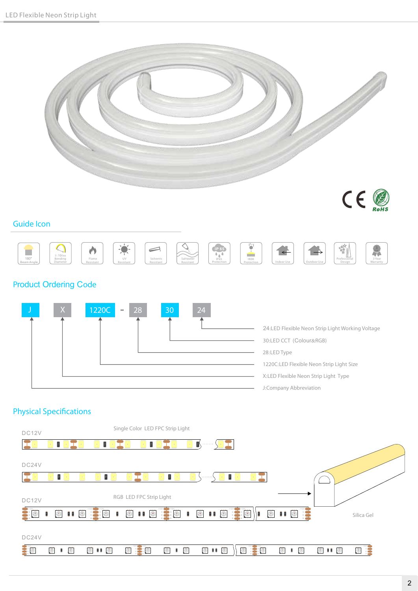



#### Guide Icon



#### Product Ordering Code



#### **Physical Specifications**

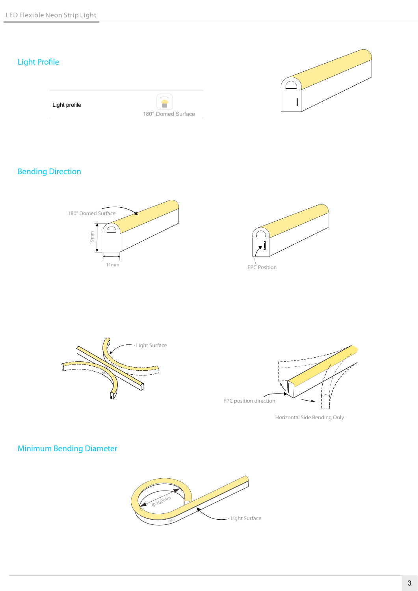## Light Profile

| Light profile |                    |
|---------------|--------------------|
|               | 180° Domed Surface |
|               |                    |



## Bending Direction







Minimum Bending Diameter

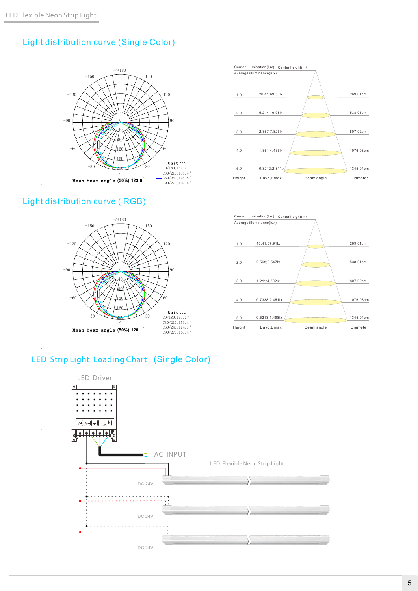### Light distribution curve (Single Color)



#### Light distribution curve ( RGB)







#### LED Strip Light Loading Chart (Single Color)

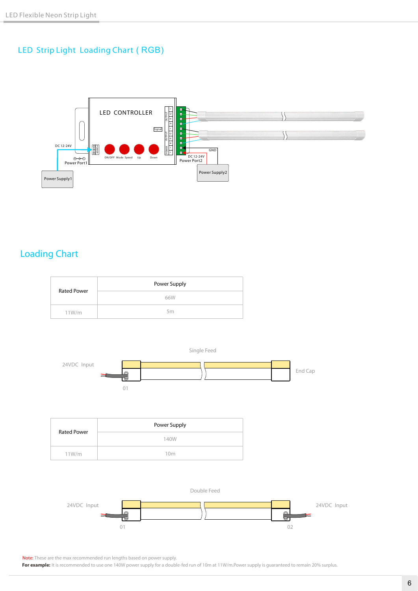#### LED Strip Light Loading Chart ( RGB)



## Loading Chart

| <b>Rated Power</b> | Power Supply |  |
|--------------------|--------------|--|
|                    | 66W          |  |
| 11W/m              | 5m           |  |



Single Feed

| Rated Power | Power Supply    |  |
|-------------|-----------------|--|
|             | 140W            |  |
| 11W/m       | 10 <sub>m</sub> |  |